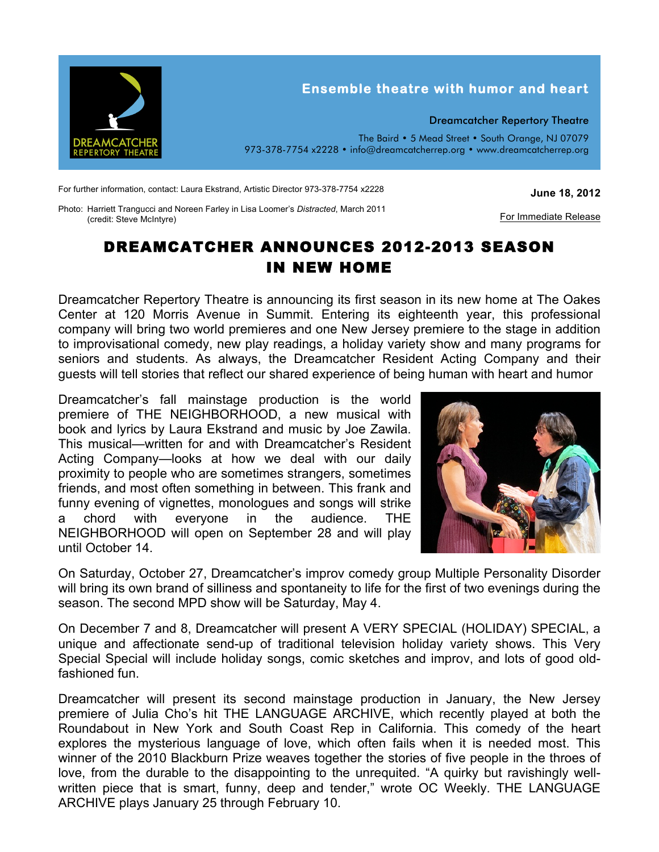

For further information, contact: Laura Ekstrand, Artistic Director 973-378-7754 x2228

**June 18, 2012**

For Immediate Release

Photo: Harriett Trangucci and Noreen Farley in Lisa Loomer's *Distracted*, March 2011 (credit: Steve McIntyre)

## DREAMCATCHER ANNOUNCES 2012-2013 SEASON IN NEW HOME

Dreamcatcher Repertory Theatre is announcing its first season in its new home at The Oakes Center at 120 Morris Avenue in Summit. Entering its eighteenth year, this professional company will bring two world premieres and one New Jersey premiere to the stage in addition to improvisational comedy, new play readings, a holiday variety show and many programs for seniors and students. As always, the Dreamcatcher Resident Acting Company and their guests will tell stories that reflect our shared experience of being human with heart and humor

Dreamcatcher's fall mainstage production is the world premiere of THE NEIGHBORHOOD, a new musical with book and lyrics by Laura Ekstrand and music by Joe Zawila. This musical—written for and with Dreamcatcher's Resident Acting Company—looks at how we deal with our daily proximity to people who are sometimes strangers, sometimes friends, and most often something in between. This frank and funny evening of vignettes, monologues and songs will strike a chord with everyone in the audience. THE NEIGHBORHOOD will open on September 28 and will play until October 14.



On Saturday, October 27, Dreamcatcher's improv comedy group Multiple Personality Disorder will bring its own brand of silliness and spontaneity to life for the first of two evenings during the season. The second MPD show will be Saturday, May 4.

On December 7 and 8, Dreamcatcher will present A VERY SPECIAL (HOLIDAY) SPECIAL, a unique and affectionate send-up of traditional television holiday variety shows. This Very Special Special will include holiday songs, comic sketches and improv, and lots of good oldfashioned fun.

Dreamcatcher will present its second mainstage production in January, the New Jersey premiere of Julia Cho's hit THE LANGUAGE ARCHIVE, which recently played at both the Roundabout in New York and South Coast Rep in California. This comedy of the heart explores the mysterious language of love, which often fails when it is needed most. This winner of the 2010 Blackburn Prize weaves together the stories of five people in the throes of love, from the durable to the disappointing to the unrequited. "A quirky but ravishingly wellwritten piece that is smart, funny, deep and tender," wrote OC Weekly. THE LANGUAGE ARCHIVE plays January 25 through February 10.